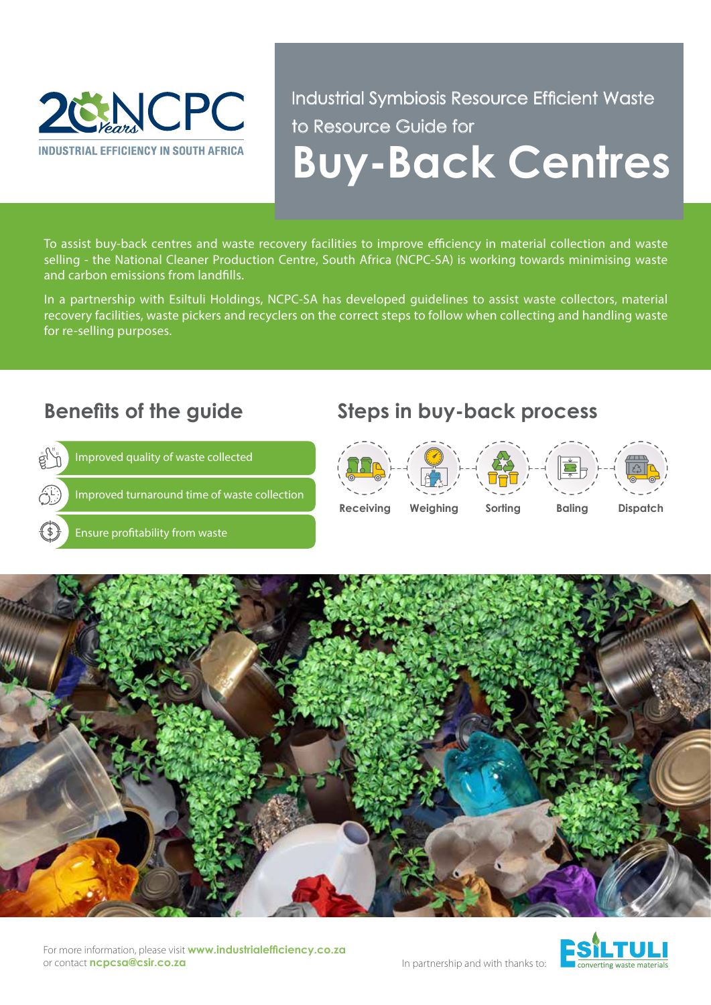

Industrial Symbiosis Resource Efficient Waste to Resource Guide for **Buy-Back Centres**

To assist buy-back centres and waste recovery facilities to improve efficiency in material collection and waste selling - the National Cleaner Production Centre, South Africa (NCPC-SA) is working towards minimising waste and carbon emissions from landfills.

In a partnership with Esiltuli Holdings, NCPC-SA has developed guidelines to assist waste collectors, material recovery facilities, waste pickers and recyclers on the correct steps to follow when collecting and handling waste for re-selling purposes.



#### For more information, please visit **www.industrialefficiency.co.za** or contact **ncpcsa@csir.co.za**



In partnership and with thanks to: